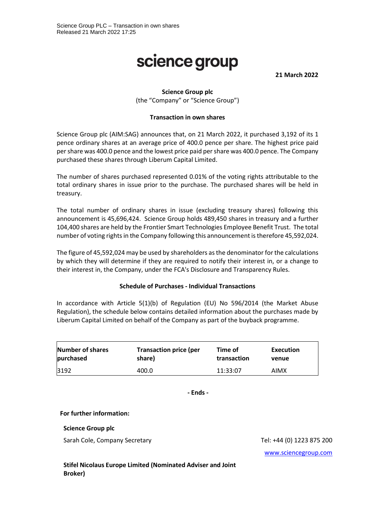# science group

**21 March 2022**

## **Science Group plc**

(the "Company" or "Science Group")

#### **Transaction in own shares**

Science Group plc (AIM:SAG) announces that, on 21 March 2022, it purchased 3,192 of its 1 pence ordinary shares at an average price of 400.0 pence per share. The highest price paid per share was 400.0 pence and the lowest price paid per share was 400.0 pence. The Company purchased these shares through Liberum Capital Limited.

The number of shares purchased represented 0.01% of the voting rights attributable to the total ordinary shares in issue prior to the purchase. The purchased shares will be held in treasury.

The total number of ordinary shares in issue (excluding treasury shares) following this announcement is 45,696,424. Science Group holds 489,450 shares in treasury and a further 104,400 shares are held by the Frontier Smart Technologies Employee Benefit Trust. The total number of voting rights in the Company following this announcement is therefore 45,592,024.

The figure of 45,592,024 may be used by shareholders as the denominator for the calculations by which they will determine if they are required to notify their interest in, or a change to their interest in, the Company, under the FCA's Disclosure and Transparency Rules.

#### **Schedule of Purchases - Individual Transactions**

In accordance with Article 5(1)(b) of Regulation (EU) No 596/2014 (the Market Abuse Regulation), the schedule below contains detailed information about the purchases made by Liberum Capital Limited on behalf of the Company as part of the buyback programme.

| Number of shares | <b>Transaction price (per</b> | Time of     | Execution |
|------------------|-------------------------------|-------------|-----------|
| purchased        | share)                        | transaction | venue     |
| 3192             | 400.0                         | 11:33:07    | AIMX      |

**- Ends -**

#### **For further information:**

#### **Science Group plc**

Sarah Cole, Company Secretary Tel: +44 (0) 1223 875 200

[www.sciencegroup.com](http://www.sciencegroup.com/)

**Stifel Nicolaus Europe Limited (Nominated Adviser and Joint Broker)**